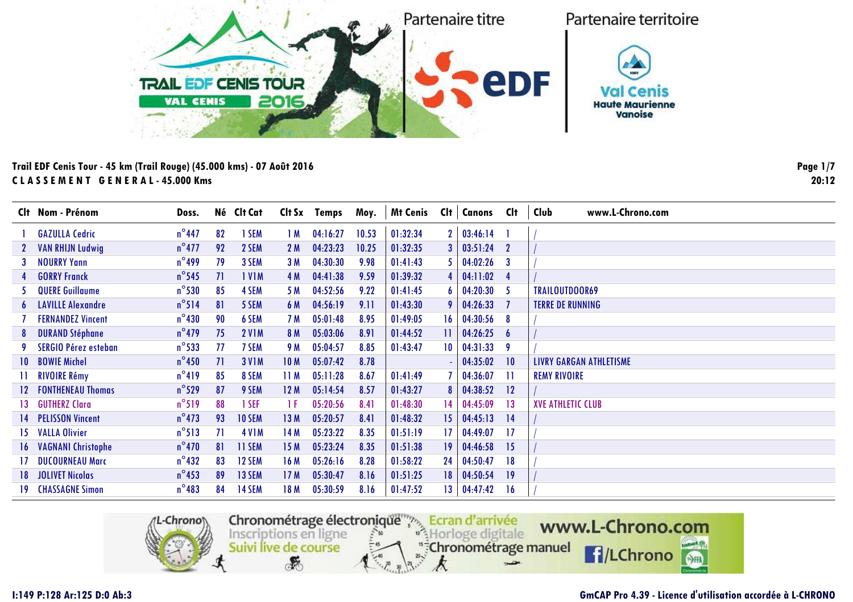

|    | Clt Nom - Prénom            | Doss.           |     | Né Clt Cat    | Clt Sx          | Temps    | Moy.  | <b>Mt Cenis</b> | Clt | <b>Canons</b> | Clt         | Club<br>www.L-Chrono.com |
|----|-----------------------------|-----------------|-----|---------------|-----------------|----------|-------|-----------------|-----|---------------|-------------|--------------------------|
|    | <b>GAZULLA Cedric</b>       | $n^{\circ}$ 447 | 82  | 1 SEM         | 1 M             | 04:16:27 | 10.53 | 01:32:34        |     | 03:46:14      |             |                          |
|    | <b>VAN RHIJN Ludwig</b>     | $n^{\circ}477$  | 92  | 2 SEM         | 2 M             | 04:23:23 | 10.25 | 01:32:35        |     | 03:51:24      | $\mathbf 2$ |                          |
|    | <b>NOURRY Yann</b>          | $n^{\circ}$ 499 | 79  | 3 SEM         | 3M              | 04:30:30 | 9.98  | 01:41:43        |     | 04:02:26      | 3           |                          |
|    | <b>GORRY Franck</b>         | $n^{\circ}$ 545 | 71  | <b>IVIM</b>   | 4 M             | 04:41:38 | 9.59  | 01:39:32        |     | 04:11:02      |             |                          |
|    | <b>QUERE Guillaume</b>      | $n^{\circ}$ 530 | 85  | 4 SEM         | 5 M             | 04:52:56 | 9.22  | 01:41:45        |     | 04:20:30      | -5          | TRAILOUTDOOR69           |
|    | <b>6</b> LAVILLE Alexandre  | $n^{\circ}514$  | 81  | 5 SEM         | 6 M             | 04:56:19 | 9.11  | 01:43:30        |     | 04:26:33      |             | <b>TERRE DE RUNNING</b>  |
|    | <b>FERNANDEZ Vincent</b>    | $n^{\circ}$ 430 | 90  | 6 SEM         | 7 M             | 05:01:48 | 8.95  | 01:49:05        | 16  | 04:30:56      | 8           |                          |
|    | <b>DURAND Stéphane</b>      | $n^{\circ}$ 479 | 75  | <b>2 V1M</b>  | 8 M             | 05:03:06 | 8.91  | 01:44:52        |     | 04:26:25      | 6           |                          |
|    | <b>SERGIO Pérez esteban</b> | $n^{\circ}$ 533 | -77 | 7 SEM         | 9 M             | 05:04:57 | 8.85  | 01:43:47        | 10  | 04:31:33      | 9           |                          |
|    | 10 BOWIE Michel             | $n^{\circ}$ 450 | 71  | <b>3 V1M</b>  | 10 <sub>M</sub> | 05:07:42 | 8.78  |                 |     | 04:35:02      | 10          | LIVRY GARGAN ATHLETISME  |
|    | <b>RIVOIRE Rémy</b>         | $n^{\circ}419$  | 85  | 8 SEM         | 11 M            | 05:11:28 | 8.67  | 01:41:49        |     | 04:36:07      | -11         | <b>REMY RIVOIRE</b>      |
|    | 12 FONTHENEAU Thomas        | $n^{\circ}529$  | 87  | 9 SEM         | 12M             | 05:14:54 | 8.57  | 01:43:27        | 8   | 04:38:52      | 12          |                          |
|    | 13 GUTHERZ Clara            | $n^{\circ}519$  | 88  | 1 SEF         | -1 F            | 05:20:56 | 8.41  | 01:48:30        | 14  | 04:45:09      | 13          | <b>XVE ATHLETIC CLUB</b> |
|    | 14 PELISSON Vincent         | $n^{\circ}$ 473 | 93  | <b>10 SEM</b> | 13M             | 05:20:57 | 8.41  | 01:48:32        | 15  | 04:45:13      | 14          |                          |
|    | 15 VALLA Olivier            | $n^{\circ}513$  | 71  | <b>4 V1M</b>  | 14 M            | 05:23:22 | 8.35  | 01:51:19        | 17  | 04:49:07      | 17          |                          |
|    | 16 VAGNANI Christophe       | $n^{\circ}470$  | 81  | 11 SEM        | 15M             | 05:23:24 | 8.35  | 01:51:38        | 19  | 04:46:58      | 15          |                          |
|    | <b>DUCOURNEAU Marc</b>      | $n^{\circ}$ 432 | 83  | 12 SEM        | 16 M            | 05:26:16 | 8.28  | 01:58:22        | 24  | 04:50:47      | 18          |                          |
|    | 18 JOLIVET Nicolas          | $n^{\circ}$ 453 | 89  | 13 SEM        | 17M             | 05:30:47 | 8.16  | 01:51:25        | 18  | 04:50:54      | 19          |                          |
| 19 | <b>CHASSAGNE Simon</b>      | $n^{\circ}483$  | 84  | <b>14 SEM</b> | 18 M            | 05:30:59 | 8.16  | 01:47:52        | 13  | 04:47:42      | 16          |                          |
|    |                             |                 |     |               |                 |          |       |                 |     |               |             |                          |



### **GmCAP Pro 4.39 - Licence d'utilisation accordée à L-CHRONO**

**Page 1/720:12**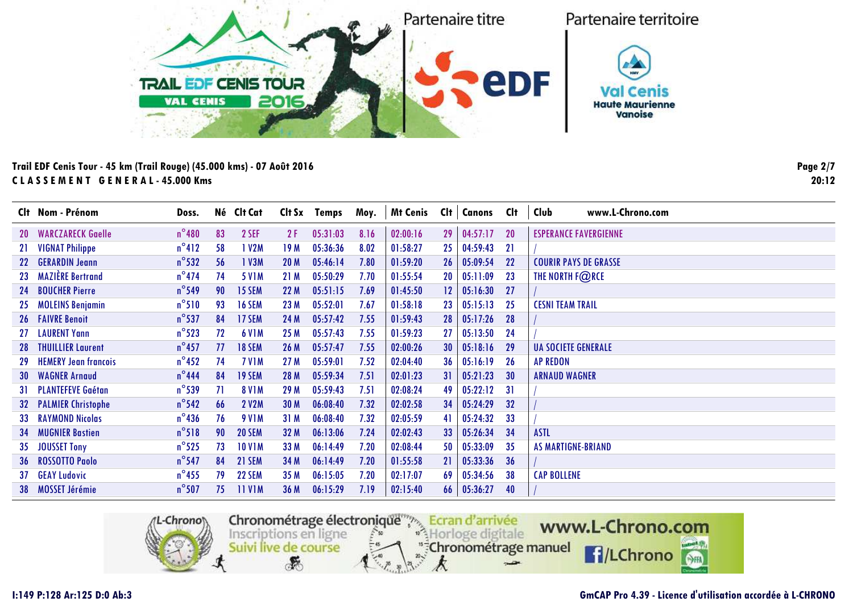

|     | Clt Nom - Prénom             | Doss.           |    | Né Clt Cat    | Clt Sx          | Temps    | Moy. | <b>Mt Cenis</b> | Cl <sub>t</sub> | <b>Canons</b> | Clt       | Club<br>www.L-Chrono.com     |
|-----|------------------------------|-----------------|----|---------------|-----------------|----------|------|-----------------|-----------------|---------------|-----------|------------------------------|
|     | <b>20 WARCZARECK Gaelle</b>  | $n^{\circ}480$  | 83 | 2 SEF         | 2 F             | 05:31:03 | 8.16 | 02:00:16        | 29              | 04:57:17      | <b>20</b> | <b>ESPERANCE FAVERGIENNE</b> |
|     | 21 VIGNAT Philippe           | $n^{\circ}412$  | 58 | 1 V2M         | 19 M            | 05:36:36 | 8.02 | 01:58:27        | 25              | 04:59:43      | 21        |                              |
|     | 22 GERARDIN Jeann            | $n^{\circ}$ 532 | 56 | 1 V3M         | 20 <sub>M</sub> | 05:46:14 | 7.80 | 01:59:20        | 26              | 05:09:54      | 22        | <b>COURIR PAYS DE GRASSE</b> |
|     | 23 MAZIÈRE Bertrand          | $n^{\circ}474$  | 74 | <b>5 V1M</b>  | 21 M            | 05:50:29 | 7.70 | 01:55:54        | 20              | 05:11:09      | 23        | THE NORTH F@RCE              |
|     | 24 BOUCHER Pierre            | $n^{\circ}$ 549 | 90 | 15 SEM        | 22M             | 05:51:15 | 7.69 | 01:45:50        | 12              | 05:16:30      | 27        |                              |
|     | 25 MOLEINS Benjamin          | $n^{\circ}510$  | 93 | <b>16 SEM</b> | 23 M            | 05:52:01 | 7.67 | 01:58:18        | 23              | 05:15:13      | 25        | <b>CESNI TEAM TRAIL</b>      |
|     | <b>26 FAIVRE Benoit</b>      | $n^{\circ}$ 537 | 84 | 17 SEM        | 24 M            | 05:57:42 | 7.55 | 01:59:43        | 28              | 05:17:26      | 28        |                              |
|     | 27 LAURENT Yann              | $n^{\circ}$ 523 | 72 | <b>6 V1M</b>  | 25 M            | 05:57:43 | 7.55 | 01:59:23        | 27              | 05:13:50      | 24        |                              |
| -28 | <b>THUILLIER Laurent</b>     | $n^{\circ}$ 457 | 77 | <b>18 SEM</b> | 26 M            | 05:57:47 | 7.55 | 02:00:26        | 30              | 05:18:16      | 29        | <b>UA SOCIETE GENERALE</b>   |
| 29  | <b>HEMERY Jean francois</b>  | $n^{\circ}$ 452 | 74 | <b>7 V1M</b>  | 27 M            | 05:59:01 | 7.52 | 02:04:40        | 36              | 05:16:19      | 26        | <b>AP REDON</b>              |
| -30 | <b>WAGNER Arnaud</b>         | $n^{\circ}$ 444 | 84 | 19 SEM        | 28 M            | 05:59:34 | 7.51 | 02:01:23        | 31              | 05:21:23      | 30        | <b>ARNAUD WAGNER</b>         |
|     | 31 PLANTEFEVE Gaétan         | $n^{\circ}$ 539 | 71 | <b>8 V1M</b>  | 29 M            | 05:59:43 | 7.51 | 02:08:24        | 49              | 05:22:12      | 31        |                              |
|     | <b>32 PALMIER Christophe</b> | $n^{\circ}$ 542 | 66 | <b>2 V2M</b>  | 30 M            | 06:08:40 | 7.32 | 02:02:58        | 34              | 05:24:29      | 32        |                              |
|     | <b>33 RAYMOND Nicolas</b>    | $n^{\circ}$ 436 | 76 | <b>9 V1M</b>  | 31 M            | 06:08:40 | 7.32 | 02:05:59        | 41              | 05:24:32      | 33        |                              |
| -34 | <b>MUGNIER Bastien</b>       | $n^{\circ}518$  | 90 | <b>20 SEM</b> | 32 M            | 06:13:06 | 7.24 | 02:02:43        | 33              | 05:26:34      | 34        | <b>ASTL</b>                  |
|     | 35 JOUSSET Tony              | $n^{\circ}$ 525 | 73 | <b>10 V1M</b> | 33 M            | 06:14:49 | 7.20 | 02:08:44        | 50              | 05:33:09      | 35        | <b>AS MARTIGNE-BRIAND</b>    |
|     | 36 ROSSOTTO Paolo            | $n^{\circ}$ 547 | 84 | 21 SEM        | 34 M            | 06:14:49 | 7.20 | 01:55:58        | 21              | 05:33:36      | 36        |                              |
|     | 37 GEAY Ludovic              | $n^{\circ}$ 455 | 79 | <b>22 SEM</b> | 35 M            | 06:15:05 | 7.20 | 02:17:07        | 69              | 05:34:56      | 38        | <b>CAP BOLLENE</b>           |
|     | 38 MOSSET Jérémie            | $n^{\circ}$ 507 | 75 | <b>11 V1M</b> | 36 M            | 06:15:29 | 7.19 | 02:15:40        | 66              | 05:36:27      | 40        |                              |
|     |                              |                 |    |               |                 |          |      |                 |                 |               |           |                              |



#### **GmCAP Pro 4.39 - Licence d'utilisation accordée à L-CHRONO**

**Page 2/720:12**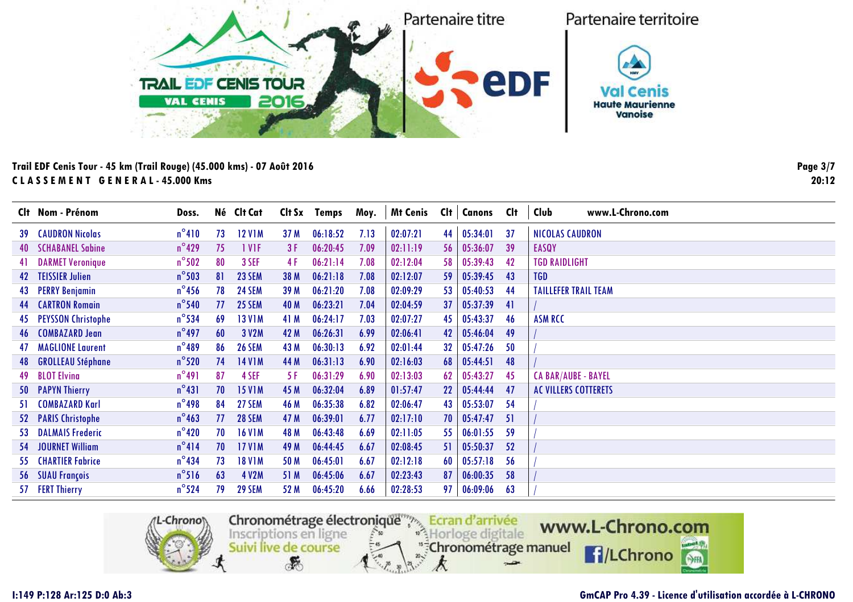

| $n^{\circ}410$<br><b>12 V1M</b><br>06:18:52<br>7.13<br>02:07:21<br>44<br>05:34:01<br><b>NICOLAS CAUDRON</b><br><b>39 CAUDRON Nicolas</b><br>73<br>37<br>37 M<br>$n^{\circ}$ 429<br>1 VIF<br>06:20:45<br><b>40 SCHABANEL Sabine</b><br>75<br>7.09<br>02:11:19<br>56<br>05:36:07<br>39<br><b>EASQY</b><br>3 F<br>$n^{\circ}502$<br>06:21:14<br>02:12:04<br>05:39:43<br><b>TGD RAIDLIGHT</b><br>80<br>3 SEF<br>7.08<br>42<br>41 DARMET Veronique<br>4 F<br>58<br>$n^{\circ}$ 503<br>06:21:18<br>42 TEISSIER Julien<br>81<br>23 SEM<br>7.08<br>05:39:45<br><b>TGD</b><br>38 M<br>02:12:07<br>59<br>43<br>$n^{\circ}$ 456<br>06:21:20<br>05:40:53<br>78<br><b>24 SEM</b><br>02:09:29<br>53<br>44<br><b>TAILLEFER TRAIL TEAM</b><br>43 PERRY Benjamin<br>39 M<br>7.08<br>$n^{\circ}$ 540<br>77<br><b>25 SEM</b><br>06:23:21<br>02:04:59<br>37<br>05:37:39<br><b>44 CARTRON Romain</b><br>40 M<br>7.04<br>41<br>$n^{\circ}$ 534<br>06:24:17<br>45 PEYSSON Christophe<br><b>13 V1M</b><br>41 M<br>05:43:37<br>46<br><b>ASM RCC</b><br>69<br>7.03<br>02:07:27<br>45<br>$n^{\circ}$ 497<br>06:26:31<br>46 COMBAZARD Jean<br>60<br>3 V2M<br>6.99<br>42<br>05:46:04<br>49<br>42 M<br>02:06:41<br>$n^{\circ}489$<br>06:30:13<br>05:47:26<br><b>47 MAGLIONE Laurent</b><br>86<br><b>26 SEM</b><br>43 M<br>6.92<br>02:01:44<br>32<br>50<br>$n^{\circ}$ 520<br>48 GROLLEAU Stéphane<br>74<br><b>14 V1M</b><br>44 M<br>06:31:13<br>05:44:51<br>48<br>6.90<br>02:16:03<br>68<br>$n^{\circ}491$<br>49 BLOT Elvina<br>06:31:29<br>4 SEF<br>02:13:03<br>62<br>05:43:27<br>45<br><b>CA BAR/AUBE - BAYEL</b><br>87<br>6.90<br>-5 F<br>$n^{\circ}431$<br>06:32:04<br>70<br><b>15 V1M</b><br>45 M<br>6.89<br>22<br>05:44:44<br>50 PAPYN Thierry<br>01:57:47<br>47<br><b>AC VILLERS COTTERETS</b><br>$n^{\circ}$ 498<br>06:35:38<br>05:53:07<br>54<br>COMBAZARD Karl<br>27 SEM<br>46 M<br>6.82<br>02:06:47<br>43<br>84<br>-51<br>$n^{\circ}$ 463<br>06:39:01<br>52 PARIS Christophe<br>77<br><b>28 SEM</b><br>47 M<br>6.77<br>02:17:10<br>70<br>05:47:47<br>51<br>$n^{\circ}420$<br>06:43:48<br>-59<br>70<br><b>16 V1M</b><br>48 M<br>6.69<br>55<br>06:01:55<br>53 DALMAIS Frederic<br>02:11:05<br>$n^{\circ}414$<br>06:44:45<br>54 JOURNET William<br>70<br><b>17 V1M</b><br>49 M<br>6.67<br>05:50:37<br>52<br>02:08:45<br>51<br>$n^{\circ}$ 434<br>06:45:01<br>56<br><b>55 CHARTIER Fabrice</b><br>73<br><b>18 V1M</b><br>6.67<br>02:12:18<br>05:57:18<br>50 M<br>60<br>$n^{\circ}$ 516<br>56 SUAU François<br>63<br>4 V2M<br>06:45:06<br>6.67<br>02:23:43<br>87<br>06:00:35<br>58<br>51 M<br>57 FERT Thierry | Clt Nom - Prénom | Doss.           | Né Clt Cat    | Clt Sx | Temps    | Moy. | <b>Mt Cenis</b> | Clt | <b>Canons</b> | Clt | Club<br>www.L-Chrono.com |
|---------------------------------------------------------------------------------------------------------------------------------------------------------------------------------------------------------------------------------------------------------------------------------------------------------------------------------------------------------------------------------------------------------------------------------------------------------------------------------------------------------------------------------------------------------------------------------------------------------------------------------------------------------------------------------------------------------------------------------------------------------------------------------------------------------------------------------------------------------------------------------------------------------------------------------------------------------------------------------------------------------------------------------------------------------------------------------------------------------------------------------------------------------------------------------------------------------------------------------------------------------------------------------------------------------------------------------------------------------------------------------------------------------------------------------------------------------------------------------------------------------------------------------------------------------------------------------------------------------------------------------------------------------------------------------------------------------------------------------------------------------------------------------------------------------------------------------------------------------------------------------------------------------------------------------------------------------------------------------------------------------------------------------------------------------------------------------------------------------------------------------------------------------------------------------------------------------------------------------------------------------------------------------------------------------------------------------------------------------------------------------------------------------------------------------------------------------------------------------------------------------------------------------------------------------------------------------------|------------------|-----------------|---------------|--------|----------|------|-----------------|-----|---------------|-----|--------------------------|
|                                                                                                                                                                                                                                                                                                                                                                                                                                                                                                                                                                                                                                                                                                                                                                                                                                                                                                                                                                                                                                                                                                                                                                                                                                                                                                                                                                                                                                                                                                                                                                                                                                                                                                                                                                                                                                                                                                                                                                                                                                                                                                                                                                                                                                                                                                                                                                                                                                                                                                                                                                                       |                  |                 |               |        |          |      |                 |     |               |     |                          |
|                                                                                                                                                                                                                                                                                                                                                                                                                                                                                                                                                                                                                                                                                                                                                                                                                                                                                                                                                                                                                                                                                                                                                                                                                                                                                                                                                                                                                                                                                                                                                                                                                                                                                                                                                                                                                                                                                                                                                                                                                                                                                                                                                                                                                                                                                                                                                                                                                                                                                                                                                                                       |                  |                 |               |        |          |      |                 |     |               |     |                          |
|                                                                                                                                                                                                                                                                                                                                                                                                                                                                                                                                                                                                                                                                                                                                                                                                                                                                                                                                                                                                                                                                                                                                                                                                                                                                                                                                                                                                                                                                                                                                                                                                                                                                                                                                                                                                                                                                                                                                                                                                                                                                                                                                                                                                                                                                                                                                                                                                                                                                                                                                                                                       |                  |                 |               |        |          |      |                 |     |               |     |                          |
|                                                                                                                                                                                                                                                                                                                                                                                                                                                                                                                                                                                                                                                                                                                                                                                                                                                                                                                                                                                                                                                                                                                                                                                                                                                                                                                                                                                                                                                                                                                                                                                                                                                                                                                                                                                                                                                                                                                                                                                                                                                                                                                                                                                                                                                                                                                                                                                                                                                                                                                                                                                       |                  |                 |               |        |          |      |                 |     |               |     |                          |
|                                                                                                                                                                                                                                                                                                                                                                                                                                                                                                                                                                                                                                                                                                                                                                                                                                                                                                                                                                                                                                                                                                                                                                                                                                                                                                                                                                                                                                                                                                                                                                                                                                                                                                                                                                                                                                                                                                                                                                                                                                                                                                                                                                                                                                                                                                                                                                                                                                                                                                                                                                                       |                  |                 |               |        |          |      |                 |     |               |     |                          |
|                                                                                                                                                                                                                                                                                                                                                                                                                                                                                                                                                                                                                                                                                                                                                                                                                                                                                                                                                                                                                                                                                                                                                                                                                                                                                                                                                                                                                                                                                                                                                                                                                                                                                                                                                                                                                                                                                                                                                                                                                                                                                                                                                                                                                                                                                                                                                                                                                                                                                                                                                                                       |                  |                 |               |        |          |      |                 |     |               |     |                          |
|                                                                                                                                                                                                                                                                                                                                                                                                                                                                                                                                                                                                                                                                                                                                                                                                                                                                                                                                                                                                                                                                                                                                                                                                                                                                                                                                                                                                                                                                                                                                                                                                                                                                                                                                                                                                                                                                                                                                                                                                                                                                                                                                                                                                                                                                                                                                                                                                                                                                                                                                                                                       |                  |                 |               |        |          |      |                 |     |               |     |                          |
|                                                                                                                                                                                                                                                                                                                                                                                                                                                                                                                                                                                                                                                                                                                                                                                                                                                                                                                                                                                                                                                                                                                                                                                                                                                                                                                                                                                                                                                                                                                                                                                                                                                                                                                                                                                                                                                                                                                                                                                                                                                                                                                                                                                                                                                                                                                                                                                                                                                                                                                                                                                       |                  |                 |               |        |          |      |                 |     |               |     |                          |
|                                                                                                                                                                                                                                                                                                                                                                                                                                                                                                                                                                                                                                                                                                                                                                                                                                                                                                                                                                                                                                                                                                                                                                                                                                                                                                                                                                                                                                                                                                                                                                                                                                                                                                                                                                                                                                                                                                                                                                                                                                                                                                                                                                                                                                                                                                                                                                                                                                                                                                                                                                                       |                  |                 |               |        |          |      |                 |     |               |     |                          |
|                                                                                                                                                                                                                                                                                                                                                                                                                                                                                                                                                                                                                                                                                                                                                                                                                                                                                                                                                                                                                                                                                                                                                                                                                                                                                                                                                                                                                                                                                                                                                                                                                                                                                                                                                                                                                                                                                                                                                                                                                                                                                                                                                                                                                                                                                                                                                                                                                                                                                                                                                                                       |                  |                 |               |        |          |      |                 |     |               |     |                          |
|                                                                                                                                                                                                                                                                                                                                                                                                                                                                                                                                                                                                                                                                                                                                                                                                                                                                                                                                                                                                                                                                                                                                                                                                                                                                                                                                                                                                                                                                                                                                                                                                                                                                                                                                                                                                                                                                                                                                                                                                                                                                                                                                                                                                                                                                                                                                                                                                                                                                                                                                                                                       |                  |                 |               |        |          |      |                 |     |               |     |                          |
|                                                                                                                                                                                                                                                                                                                                                                                                                                                                                                                                                                                                                                                                                                                                                                                                                                                                                                                                                                                                                                                                                                                                                                                                                                                                                                                                                                                                                                                                                                                                                                                                                                                                                                                                                                                                                                                                                                                                                                                                                                                                                                                                                                                                                                                                                                                                                                                                                                                                                                                                                                                       |                  |                 |               |        |          |      |                 |     |               |     |                          |
|                                                                                                                                                                                                                                                                                                                                                                                                                                                                                                                                                                                                                                                                                                                                                                                                                                                                                                                                                                                                                                                                                                                                                                                                                                                                                                                                                                                                                                                                                                                                                                                                                                                                                                                                                                                                                                                                                                                                                                                                                                                                                                                                                                                                                                                                                                                                                                                                                                                                                                                                                                                       |                  |                 |               |        |          |      |                 |     |               |     |                          |
|                                                                                                                                                                                                                                                                                                                                                                                                                                                                                                                                                                                                                                                                                                                                                                                                                                                                                                                                                                                                                                                                                                                                                                                                                                                                                                                                                                                                                                                                                                                                                                                                                                                                                                                                                                                                                                                                                                                                                                                                                                                                                                                                                                                                                                                                                                                                                                                                                                                                                                                                                                                       |                  |                 |               |        |          |      |                 |     |               |     |                          |
|                                                                                                                                                                                                                                                                                                                                                                                                                                                                                                                                                                                                                                                                                                                                                                                                                                                                                                                                                                                                                                                                                                                                                                                                                                                                                                                                                                                                                                                                                                                                                                                                                                                                                                                                                                                                                                                                                                                                                                                                                                                                                                                                                                                                                                                                                                                                                                                                                                                                                                                                                                                       |                  |                 |               |        |          |      |                 |     |               |     |                          |
|                                                                                                                                                                                                                                                                                                                                                                                                                                                                                                                                                                                                                                                                                                                                                                                                                                                                                                                                                                                                                                                                                                                                                                                                                                                                                                                                                                                                                                                                                                                                                                                                                                                                                                                                                                                                                                                                                                                                                                                                                                                                                                                                                                                                                                                                                                                                                                                                                                                                                                                                                                                       |                  |                 |               |        |          |      |                 |     |               |     |                          |
|                                                                                                                                                                                                                                                                                                                                                                                                                                                                                                                                                                                                                                                                                                                                                                                                                                                                                                                                                                                                                                                                                                                                                                                                                                                                                                                                                                                                                                                                                                                                                                                                                                                                                                                                                                                                                                                                                                                                                                                                                                                                                                                                                                                                                                                                                                                                                                                                                                                                                                                                                                                       |                  |                 |               |        |          |      |                 |     |               |     |                          |
|                                                                                                                                                                                                                                                                                                                                                                                                                                                                                                                                                                                                                                                                                                                                                                                                                                                                                                                                                                                                                                                                                                                                                                                                                                                                                                                                                                                                                                                                                                                                                                                                                                                                                                                                                                                                                                                                                                                                                                                                                                                                                                                                                                                                                                                                                                                                                                                                                                                                                                                                                                                       |                  |                 |               |        |          |      |                 |     |               |     |                          |
|                                                                                                                                                                                                                                                                                                                                                                                                                                                                                                                                                                                                                                                                                                                                                                                                                                                                                                                                                                                                                                                                                                                                                                                                                                                                                                                                                                                                                                                                                                                                                                                                                                                                                                                                                                                                                                                                                                                                                                                                                                                                                                                                                                                                                                                                                                                                                                                                                                                                                                                                                                                       |                  | $n^{\circ}$ 524 | <b>29 SEM</b> | 52 M   | 06:45:20 | 6.66 | 02:28:53        | 97  | 06:09:06      | 63  |                          |



### **GmCAP Pro 4.39 - Licence d'utilisation accordée à L-CHRONO**

**Page 3/720:12**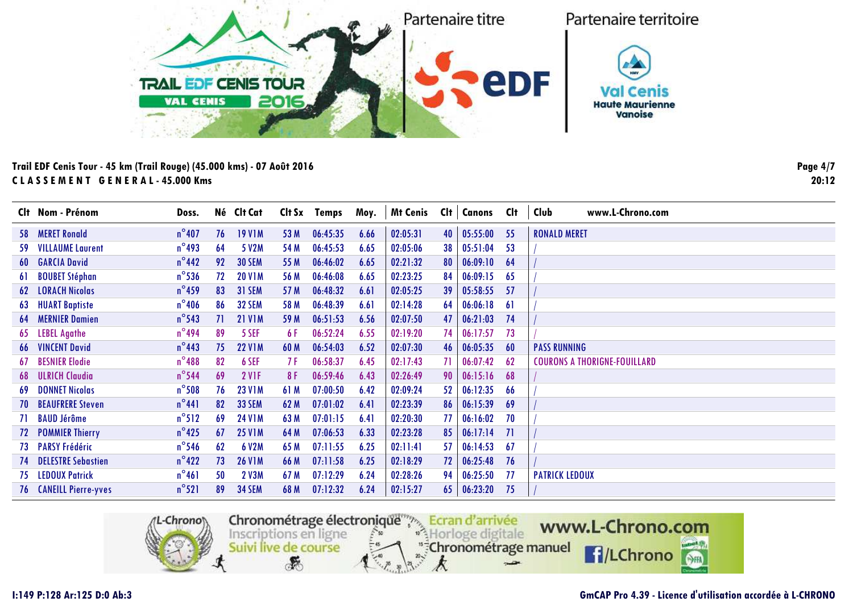

|    | Clt Nom - Prénom              | Doss.           |    | Né Clt Cat    | Clt Sx | Temps    | Moy. | <b>Mt Cenis</b> | Cl <sub>t</sub> | Canons   | Clt | Club<br>www.L-Chrono.com            |
|----|-------------------------------|-----------------|----|---------------|--------|----------|------|-----------------|-----------------|----------|-----|-------------------------------------|
|    | 58 MERET Ronald               | $n^{\circ}$ 407 | 76 | <b>19 V1M</b> | 53 M   | 06:45:35 | 6.66 | 02:05:31        | 40              | 05:55:00 | 55  | <b>RONALD MERET</b>                 |
|    | <b>59 VILLAUME Laurent</b>    | $n^{\circ}$ 493 | 64 | 5 V2M         | 54 M   | 06:45:53 | 6.65 | 02:05:06        | 38              | 05:51:04 | 53  |                                     |
|    | <b>60 GARCIA David</b>        | $n^{\circ}$ 442 | 92 | <b>30 SEM</b> | 55 M   | 06:46:02 | 6.65 | 02:21:32        | 80              | 06:09:10 | 64  |                                     |
| 61 | <b>BOUBET Stéphan</b>         | $n^{\circ}$ 536 | 72 | <b>20 V1M</b> | 56 M   | 06:46:08 | 6.65 | 02:23:25        | 84              | 06:09:15 | 65  |                                     |
|    | <b>62 LORACH Nicolas</b>      | $n^{\circ}$ 459 | 83 | <b>31 SEM</b> | 57 M   | 06:48:32 | 6.61 | 02:05:25        | 39              | 05:58:55 | -57 |                                     |
|    | <b>63 HUART Baptiste</b>      | $n^{\circ}$ 406 | 86 | <b>32 SEM</b> | 58 M   | 06:48:39 | 6.61 | 02:14:28        | 64              | 06:06:18 | 61  |                                     |
|    | <b>64 MERNIER Damien</b>      | $n^{\circ}$ 543 |    | <b>21 V1M</b> | 59 M   | 06:51:53 | 6.56 | 02:07:50        | 47              | 06:21:03 | 74  |                                     |
|    | 65 LEBEL Agathe               | $n^{\circ}$ 494 | 89 | 5 SEF         | 6 F    | 06:52:24 | 6.55 | 02:19:20        | 74              | 06:17:57 | 73  |                                     |
|    | <b>66 VINCENT David</b>       | $n^{\circ}$ 443 | 75 | <b>22 V1M</b> | 60 M   | 06:54:03 | 6.52 | 02:07:30        | 46              | 06:05:35 | 60  | <b>PASS RUNNING</b>                 |
|    | <b>67 BESNIER Elodie</b>      | $n^{\circ}$ 488 | 82 | 6 SEF         | 7 F    | 06:58:37 | 6.45 | 02:17:43        | 71              | 06:07:42 | -62 | <b>COURONS A THORIGNE-FOUILLARD</b> |
|    | <b>68 ULRICH Claudia</b>      | $n^{\circ}$ 544 | 69 | <b>2 V1F</b>  | 8 F    | 06:59:46 | 6.43 | 02:26:49        | 90              | 06:15:16 | 68  |                                     |
|    | <b>69 DONNET Nicolas</b>      | $n^{\circ}$ 508 | 76 | <b>23 V1M</b> | 61 M   | 07:00:50 | 6.42 | 02:09:24        | 52              | 06:12:35 | 66  |                                     |
|    | <b>70 BEAUFRERE Steven</b>    | $n^{\circ}441$  | 82 | <b>33 SEM</b> | 62 M   | 07:01:02 | 6.41 | 02:23:39        | 86              | 06:15:39 | 69  |                                     |
|    | 71 BAUD Jérôme                | $n^{\circ}512$  | 69 | <b>24 V1M</b> | 63 M   | 07:01:15 | 6.41 | 02:20:30        | 77              | 06:16:02 | 70  |                                     |
|    | <b>72 POMMIER Thierry</b>     | $n^{\circ}$ 425 | 67 | <b>25 V1M</b> | 64 M   | 07:06:53 | 6.33 | 02:23:28        | 85              | 06:17:14 | 71  |                                     |
|    | 73 PARSY Frédéric             | $n^{\circ}$ 546 | 62 | 6 V2M         | 65 M   | 07:11:55 | 6.25 | 02:11:41        | 57              | 06:14:53 | -67 |                                     |
|    | <b>74 DELESTRE Sebastien</b>  | $n^{\circ}422$  | 73 | <b>26 V1M</b> | 66 M   | 07:11:58 | 6.25 | 02:18:29        | 72              | 06:25:48 | 76  |                                     |
|    | <b>75 LEDOUX Patrick</b>      | $n^{\circ}461$  | 50 | 2 V3M         | 67 M   | 07:12:29 | 6.24 | 02:28:26        | 94              | 06:25:50 | -77 | <b>PATRICK LEDOUX</b>               |
|    | <b>76 CANEILL Pierre-yves</b> | $n^{\circ}521$  | 89 | <b>34 SEM</b> | 68 M   | 07:12:32 | 6.24 | 02:15:27        | 65              | 06:23:20 | -75 |                                     |



#### **GmCAP Pro 4.39 - Licence d'utilisation accordée à L-CHRONO**

**Page 4/720:12**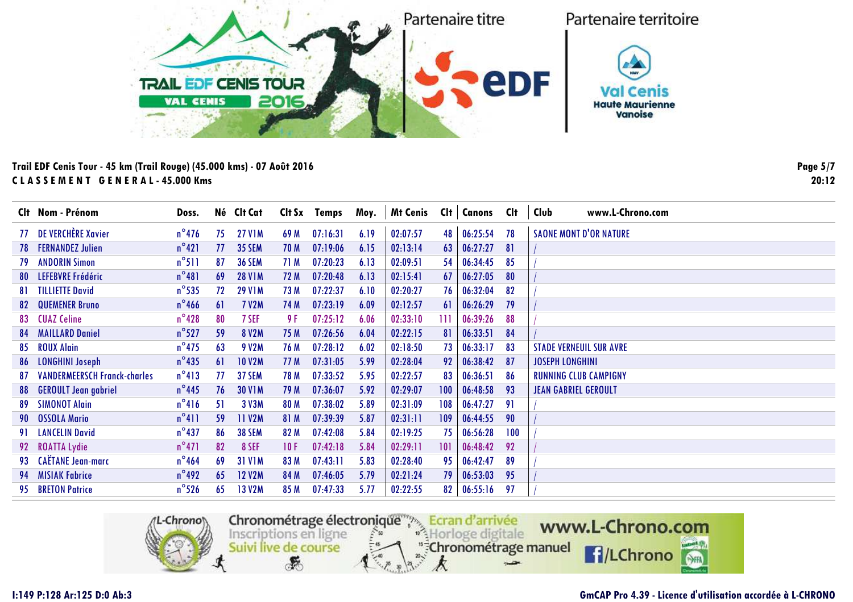

|    | Clt Nom - Prénom                    | Doss.           |    | Né Clt Cat    | Clt Sx | Temps    | Moy. | <b>Mt Cenis</b> | Clt | <b>Canons</b> | <b>C</b> lt | Club<br>www.L-Chrono.com       |
|----|-------------------------------------|-----------------|----|---------------|--------|----------|------|-----------------|-----|---------------|-------------|--------------------------------|
|    | 77 DE VERCHÈRE Xavier               | $n^{\circ}$ 476 | 75 | <b>27 V1M</b> | 69 M   | 07:16:31 | 6.19 | 02:07:57        | 48  | 06:25:54      | 78          | <b>SAONE MONT D'OR NATURE</b>  |
|    | <b>78 FERNANDEZ Julien</b>          | $n^{\circ}421$  | 77 | <b>35 SEM</b> | 70 M   | 07:19:06 | 6.15 | 02:13:14        | 63  | 06:27:27      | 81          |                                |
|    | <b>79 ANDORIN Simon</b>             | $n^{\circ}511$  | 87 | <b>36 SEM</b> | 71 M   | 07:20:23 | 6.13 | 02:09:51        | 54  | 06:34:45      | 85          |                                |
|    | 80 LEFEBVRE Frédéric                | $n^{\circ}481$  | 69 | <b>28 V1M</b> | 72 M   | 07:20:48 | 6.13 | 02:15:41        | 67  | 06:27:05      | 80          |                                |
|    | <b>81 TILLIETTE David</b>           | $n^{\circ}$ 535 | 72 | <b>29 V1M</b> | 73 M   | 07:22:37 | 6.10 | 02:20:27        | 76  | 06:32:04      | 82          |                                |
|    | <b>82 QUEMENER Bruno</b>            | $n^{\circ}$ 466 | 61 | <b>7 V2M</b>  | 74 M   | 07:23:19 | 6.09 | 02:12:57        | 61  | 06:26:29      | 79          |                                |
|    | 83 CUAZ Celine                      | $n^{\circ}$ 428 | 80 | 7 SEF         | 9 F    | 07:25:12 | 6.06 | 02:33:10        | Ш   | 06:39:26      | 88          |                                |
|    | <b>84 MAILLARD Daniel</b>           | $n^{\circ}$ 527 | 59 | <b>8 V2M</b>  | 75 M   | 07:26:56 | 6.04 | 02:22:15        | 81  | 06:33:51      | 84          |                                |
|    | 85 ROUX Alain                       | $n^{\circ}$ 475 | 63 | <b>9 V2M</b>  | 76 M   | 07:28:12 | 6.02 | 02:18:50        | 73  | 06:33:17      | 83          | <b>STADE VERNEUIL SUR AVRE</b> |
|    | 86 LONGHINI Joseph                  | $n^{\circ}$ 435 | 61 | <b>10 V2M</b> | 77 M   | 07:31:05 | 5.99 | 02:28:04        | 92  | 06:38:42      | 87          | <b>JOSEPH LONGHINI</b>         |
| 87 | <b>VANDERMEERSCH Franck-charles</b> | $n^{\circ}413$  |    | 37 SEM        | 78 M   | 07:33:52 | 5.95 | 02:22:57        | 83  | 06:36:51      | 86          | <b>RUNNING CLUB CAMPIGNY</b>   |
|    | 88 GEROULT Jean gabriel             | $n^{\circ}$ 445 | 76 | <b>30 V1M</b> | 79 M   | 07:36:07 | 5.92 | 02:29:07        | 100 | 06:48:58      | 93          | <b>JEAN GABRIEL GEROULT</b>    |
| 89 | <b>SIMONOT Alain</b>                | $n^{\circ}416$  | 51 | 3 V3M         | 80 M   | 07:38:02 | 5.89 | 02:31:09        | 108 | 06:47:27      | 91          |                                |
|    | 90 OSSOLA Mario                     | $n^{\circ}411$  | 59 | 11 V2M        | 81 M   | 07:39:39 | 5.87 | 02:31:11        | 109 | 06:44:55      | 90          |                                |
|    | 91 LANCELIN David                   | $n^{\circ}$ 437 | 86 | <b>38 SEM</b> | 82 M   | 07:42:08 | 5.84 | 02:19:25        | 75  | 06:56:28      | 100         |                                |
|    | 92 ROATTA Lydie                     | $n^{\circ}471$  | 82 | 8 SEF         | 10F    | 07:42:18 | 5.84 | 02:29:11        | 101 | 06:48:42      | 92          |                                |
|    | 93 CAËTANE Jean-marc                | $n^{\circ}$ 464 | 69 | <b>31 V1M</b> | 83 M   | 07:43:11 | 5.83 | 02:28:40        | 95  | 06:42:47      | 89          |                                |
|    | 94 MISIAK Fabrice                   | $n^{\circ}$ 492 | 65 | <b>12 V2M</b> | 84 M   | 07:46:05 | 5.79 | 02:21:24        | 79  | 06:53:03      | 95          |                                |
|    | 95 BRETON Patrice                   | $n^{\circ}$ 526 | 65 | <b>13 V2M</b> | 85 M   | 07:47:33 | 5.77 | 02:22:55        | 82  | 06:55:16      | 97          |                                |
|    |                                     |                 |    |               |        |          |      |                 |     |               |             |                                |



### **GmCAP Pro 4.39 - Licence d'utilisation accordée à L-CHRONO**

**Page 5/720:12**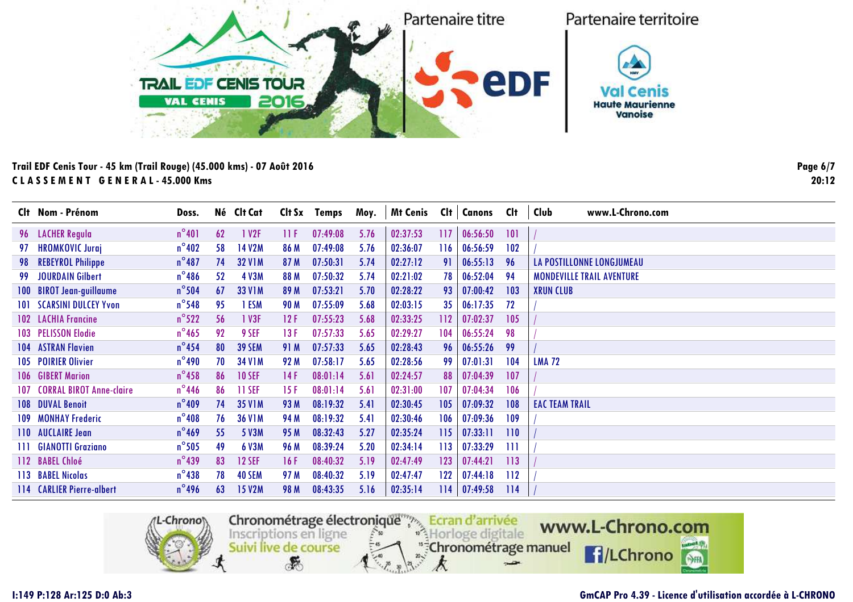

|     | Clt Nom - Prénom                    | Doss.           |    | Né Clt Cat        | Clt Sx | Temps    | Moy. | <b>Mt Cenis</b> | Clt | Canons   | Clt | Club<br>www.L-Chrono.com         |
|-----|-------------------------------------|-----------------|----|-------------------|--------|----------|------|-----------------|-----|----------|-----|----------------------------------|
|     | 96 LACHER Regula                    | $n^{\circ}401$  | 62 | 1 V <sub>2F</sub> | 11 F   | 07:49:08 | 5.76 | 02:37:53        | 117 | 06:56:50 | 101 |                                  |
| 97  | <b>HROMKOVIC Juraj</b>              | $n^{\circ}402$  | 58 | <b>14 V2M</b>     | 86 M   | 07:49:08 | 5.76 | 02:36:07        | 116 | 06:56:59 | 102 |                                  |
| 98  | <b>REBEYROL Philippe</b>            | $n^{\circ}487$  | 74 | <b>32 V1M</b>     | 87 M   | 07:50:31 | 5.74 | 02:27:12        | 91  | 06:55:13 | 96  | LA POSTILLONNE LONGJUMEAU        |
| 99. | JOURDAIN Gilbert                    | $n^{\circ}$ 486 | 52 | <b>4 V3M</b>      | 88 M   | 07:50:32 | 5.74 | 02:21:02        | 78  | 06:52:04 | 94  | <b>MONDEVILLE TRAIL AVENTURE</b> |
|     | 100 BIROT Jean-guillaume            | $n^{\circ}$ 504 | 67 | <b>33 V1M</b>     | 89 M   | 07:53:21 | 5.70 | 02:28:22        | 93  | 07:00:42 | 103 | <b>XRUN CLUB</b>                 |
|     | <b>101 SCARSINI DULCEY Yvon</b>     | $n^{\circ}$ 548 | 95 | 1 ESM             | 90 M   | 07:55:09 | 5.68 | 02:03:15        | 35  | 06:17:35 | 72  |                                  |
|     | <b>102 LACHIA Francine</b>          | $n^{\circ}522$  | 56 | 1 V3F             | 12F    | 07:55:23 | 5.68 | 02:33:25        | 112 | 07:02:37 | 105 |                                  |
|     | 103 PELISSON Elodie                 | $n^{\circ}$ 465 | 92 | 9 SEF             | 13 F   | 07:57:33 | 5.65 | 02:29:27        | 104 | 06:55:24 | 98  |                                  |
|     | <b>104 ASTRAN Flavien</b>           | $n^{\circ}$ 454 | 80 | <b>39 SEM</b>     | 91 M   | 07:57:33 | 5.65 | 02:28:43        | 96  | 06:55:26 | 99  |                                  |
|     | 105 POIRIER Olivier                 | $n^{\circ}$ 490 | 70 | <b>34 V1M</b>     | 92 M   | 07:58:17 | 5.65 | 02:28:56        | 99  | 07:01:31 | 104 | <b>LMA 72</b>                    |
|     | 106 GIBERT Marion                   | $n^{\circ}$ 458 | 86 | <b>10 SEF</b>     | 14 F   | 08:01:14 | 5.61 | 02:24:57        | 88  | 07:04:39 | 107 |                                  |
|     | <b>107 CORRAL BIROT Anne-claire</b> | $n^{\circ}$ 446 | 86 | 11 SEF            | 15 F   | 08:01:14 | 5.61 | 02:31:00        | 107 | 07:04:34 | 106 |                                  |
|     | <b>108 DUVAL Benoit</b>             | $n^{\circ}409$  | 74 | <b>35 V1M</b>     | 93 M   | 08:19:32 | 5.41 | 02:30:45        | 105 | 07:09:32 | 108 | <b>EAC TEAM TRAIL</b>            |
|     | <b>109 MONHAY Frederic</b>          | $n^{\circ}408$  | 76 | <b>36 V1M</b>     | 94 M   | 08:19:32 | 5.41 | 02:30:46        | 106 | 07:09:36 | 109 |                                  |
|     | 110 AUCLAIRE Jean                   | $n^{\circ}$ 469 | 55 | 5 V3M             | 95 M   | 08:32:43 | 5.27 | 02:35:24        | 115 | 07:33:11 | 110 |                                  |
|     | 111 GIANOTTI Graziano               | $n^{\circ}$ 505 | 49 | 6 V3M             | 96 M   | 08:39:24 | 5.20 | 02:34:14        | 113 | 07:33:29 | 111 |                                  |
|     | 112 BABEL Chloé                     | $n^{\circ}$ 439 | 83 | <b>12 SEF</b>     | 16 F   | 08:40:32 | 5.19 | 02:47:49        | 123 | 07:44:21 | 113 |                                  |
|     | 113 BABEL Nicolas                   | $n^{\circ}$ 438 | 78 | <b>40 SEM</b>     | 97 M   | 08:40:32 | 5.19 | 02:47:47        | 122 | 07:44:18 | 112 |                                  |
|     | 114 CARLIER Pierre-albert           | $n^{\circ}$ 496 | 63 | <b>15 V2M</b>     | 98 M   | 08:43:35 | 5.16 | 02:35:14        | 114 | 07:49:58 | 114 |                                  |



#### **GmCAP Pro 4.39 - Licence d'utilisation accordée à L-CHRONO**

**Page 6/720:12**